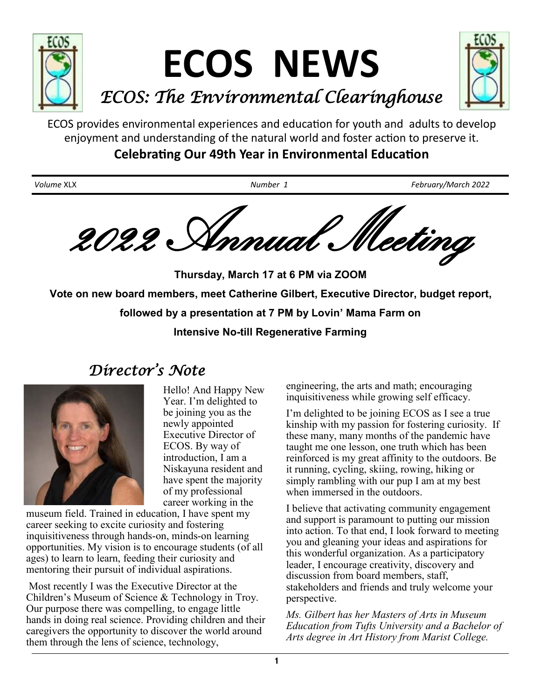

ECOS provides environmental experiences and education for youth and adults to develop enjoyment and understanding of the natural world and foster action to preserve it.

**Celebrating Our 49th Year in Environmental Education**

*Volume* XLX *Number 1 February/March 2022* 2022 Annual Meeting

**Thursday, March 17 at 6 PM via ZOOM Vote on new board members, meet Catherine Gilbert, Executive Director, budget report, followed by a presentation at 7 PM by Lovin' Mama Farm on Intensive No-till Regenerative Farming**

# *Director ' s Note*



Hello! And Happy New Year. I'm delighted to be joining you as the newly appointed Executive Director of ECOS. By way of introduction, I am a Niskayuna resident and have spent the majority of my professional career working in the

museum field. Trained in education, I have spent my career seeking to excite curiosity and fostering inquisitiveness through hands-on, minds-on learning opportunities. My vision is to encourage students (of all ages) to learn to learn, feeding their curiosity and mentoring their pursuit of individual aspirations.

 Most recently I was the Executive Director at the Children's Museum of Science & Technology in Troy. Our purpose there was compelling, to engage little hands in doing real science. Providing children and their caregivers the opportunity to discover the world around them through the lens of science, technology,

engineering, the arts and math; encouraging inquisitiveness while growing self efficacy.

I'm delighted to be joining ECOS as I see a true kinship with my passion for fostering curiosity. If these many, many months of the pandemic have taught me one lesson, one truth which has been reinforced is my great affinity to the outdoors. Be it running, cycling, skiing, rowing, hiking or simply rambling with our pup I am at my best when immersed in the outdoors.

I believe that activating community engagement and support is paramount to putting our mission into action. To that end, I look forward to meeting you and gleaning your ideas and aspirations for this wonderful organization. As a participatory leader, I encourage creativity, discovery and discussion from board members, staff, stakeholders and friends and truly welcome your perspective.

*Ms. Gilbert has her Masters of Arts in Museum Education from Tufts University and a Bachelor of Arts degree in Art History from Marist College.*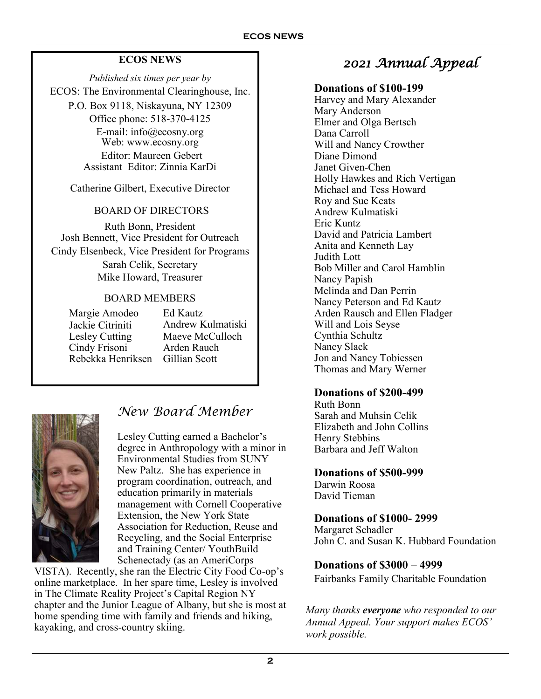## **ECOS NEWS**

*Published six times per year by* ECOS: The Environmental Clearinghouse, Inc.

P.O. Box 9118, Niskayuna, NY 12309 Office phone: 518-370-4125 E-mail: info@ecosny.org Web: www.ecosny.org Editor: Maureen Gebert Assistant Editor: Zinnia KarDi

Catherine Gilbert, Executive Director

### BOARD OF DIRECTORS

Ruth Bonn, President Josh Bennett, Vice President for Outreach Cindy Elsenbeck, Vice President for Programs Sarah Celik, Secretary Mike Howard, Treasurer

### BOARD MEMBERS

Rebekka Henriksen Gillian Scott Margie Amodeo Jackie Citriniti Lesley Cutting Cindy Frisoni

Ed Kautz Andrew Kulmatiski Maeve McCulloch Arden Rauch



# *New Board Member*

Lesley Cutting earned a Bachelor's degree in Anthropology with a minor in Environmental Studies from SUNY New Paltz. She has experience in program coordination, outreach, and education primarily in materials management with Cornell Cooperative Extension, the New York State Association for Reduction, Reuse and Recycling, and the Social Enterprise and Training Center/ YouthBuild Schenectady (as an AmeriCorps

VISTA). Recently, she ran the Electric City Food Co-op's online marketplace. In her spare time, Lesley is involved in The Climate Reality Project's Capital Region NY chapter and the Junior League of Albany, but she is most at home spending time with family and friends and hiking, kayaking, and cross-country skiing.

# *2021 Annual Appeal*

### **Donations of \$100-199**

Harvey and Mary Alexander Mary Anderson Elmer and Olga Bertsch Dana Carroll Will and Nancy Crowther Diane Dimond Janet Given-Chen Holly Hawkes and Rich Vertigan Michael and Tess Howard Roy and Sue Keats Andrew Kulmatiski Eric Kuntz David and Patricia Lambert Anita and Kenneth Lay Judith Lott Bob Miller and Carol Hamblin Nancy Papish Melinda and Dan Perrin Nancy Peterson and Ed Kautz Arden Rausch and Ellen Fladger Will and Lois Seyse Cynthia Schultz Nancy Slack Jon and Nancy Tobiessen Thomas and Mary Werner

## **Donations of \$200-499**

Ruth Bonn Sarah and Muhsin Celik Elizabeth and John Collins Henry Stebbins Barbara and Jeff Walton

### **Donations of \$500-999**

Darwin Roosa David Tieman

### **Donations of \$1000- 2999**

Margaret Schadler John C. and Susan K. Hubbard Foundation

## **Donations of \$3000 – 4999**

Fairbanks Family Charitable Foundation

*Many thanks everyone who responded to our Annual Appeal. Your support makes ECOS' work possible.*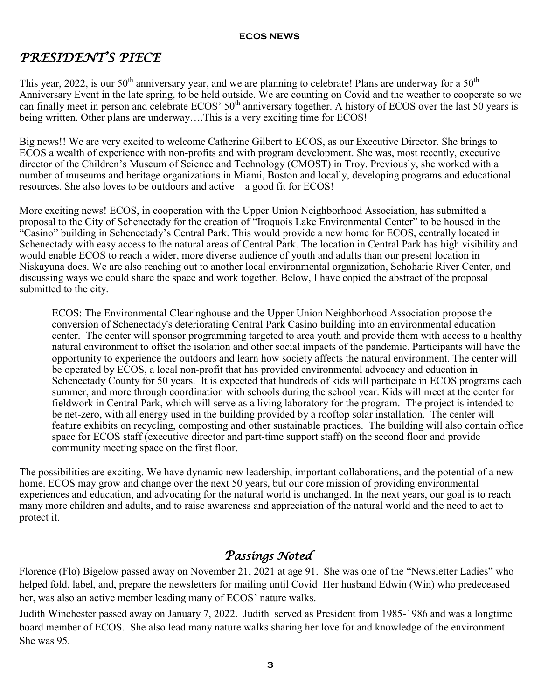# *PRESIDENT'S PIECE*

This year, 2022, is our  $50<sup>th</sup>$  anniversary year, and we are planning to celebrate! Plans are underway for a  $50<sup>th</sup>$ Anniversary Event in the late spring, to be held outside. We are counting on Covid and the weather to cooperate so we can finally meet in person and celebrate  $ECOS' 50<sup>th</sup>$  anniversary together. A history of ECOS over the last 50 years is being written. Other plans are underway….This is a very exciting time for ECOS!

Big news!! We are very excited to welcome Catherine Gilbert to ECOS, as our Executive Director. She brings to ECOS a wealth of experience with non-profits and with program development. She was, most recently, executive director of the Children's Museum of Science and Technology (CMOST) in Troy. Previously, she worked with a number of museums and heritage organizations in Miami, Boston and locally, developing programs and educational resources. She also loves to be outdoors and active—a good fit for ECOS!

More exciting news! ECOS, in cooperation with the Upper Union Neighborhood Association, has submitted a proposal to the City of Schenectady for the creation of "Iroquois Lake Environmental Center" to be housed in the "Casino" building in Schenectady's Central Park. This would provide a new home for ECOS, centrally located in Schenectady with easy access to the natural areas of Central Park. The location in Central Park has high visibility and would enable ECOS to reach a wider, more diverse audience of youth and adults than our present location in Niskayuna does. We are also reaching out to another local environmental organization, Schoharie River Center, and discussing ways we could share the space and work together. Below, I have copied the abstract of the proposal submitted to the city.

ECOS: The Environmental Clearinghouse and the Upper Union Neighborhood Association propose the conversion of Schenectady's deteriorating Central Park Casino building into an environmental education center. The center will sponsor programming targeted to area youth and provide them with access to a healthy natural environment to offset the isolation and other social impacts of the pandemic. Participants will have the opportunity to experience the outdoors and learn how society affects the natural environment. The center will be operated by ECOS, a local non-profit that has provided environmental advocacy and education in Schenectady County for 50 years. It is expected that hundreds of kids will participate in ECOS programs each summer, and more through coordination with schools during the school year. Kids will meet at the center for fieldwork in Central Park, which will serve as a living laboratory for the program. The project is intended to be net-zero, with all energy used in the building provided by a rooftop solar installation. The center will feature exhibits on recycling, composting and other sustainable practices. The building will also contain office space for ECOS staff (executive director and part-time support staff) on the second floor and provide community meeting space on the first floor.

The possibilities are exciting. We have dynamic new leadership, important collaborations, and the potential of a new home. ECOS may grow and change over the next 50 years, but our core mission of providing environmental experiences and education, and advocating for the natural world is unchanged. In the next years, our goal is to reach many more children and adults, and to raise awareness and appreciation of the natural world and the need to act to protect it.

# *Passings Noted*

Florence (Flo) Bigelow passed away on November 21, 2021 at age 91. She was one of the "Newsletter Ladies" who helped fold, label, and, prepare the newsletters for mailing until Covid Her husband Edwin (Win) who predeceased her, was also an active member leading many of ECOS' nature walks.

Judith Winchester passed away on January 7, 2022. Judith served as President from 1985-1986 and was a longtime board member of ECOS. She also lead many nature walks sharing her love for and knowledge of the environment. She was 95.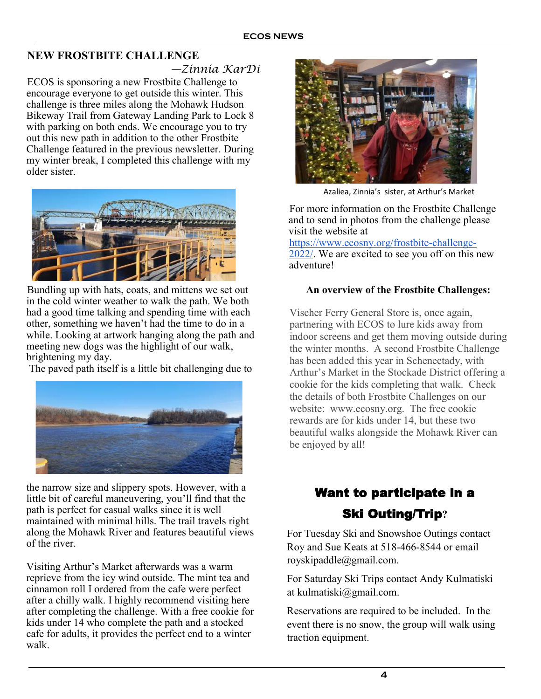## **NEW FROSTBITE CHALLENGE**

*—Zinnia KarDi* 

ECOS is sponsoring a new Frostbite Challenge to encourage everyone to get outside this winter. This challenge is three miles along the Mohawk Hudson Bikeway Trail from Gateway Landing Park to Lock 8 with parking on both ends. We encourage you to try out this new path in addition to the other Frostbite Challenge featured in the previous newsletter. During my winter break, I completed this challenge with my older sister.



Bundling up with hats, coats, and mittens we set out in the cold winter weather to walk the path. We both had a good time talking and spending time with each other, something we haven't had the time to do in a while. Looking at artwork hanging along the path and meeting new dogs was the highlight of our walk, brightening my day.

The paved path itself is a little bit challenging due to



the narrow size and slippery spots. However, with a little bit of careful maneuvering, you'll find that the path is perfect for casual walks since it is well maintained with minimal hills. The trail travels right along the Mohawk River and features beautiful views of the river.

Visiting Arthur's Market afterwards was a warm reprieve from the icy wind outside. The mint tea and cinnamon roll I ordered from the cafe were perfect after a chilly walk. I highly recommend visiting here after completing the challenge. With a free cookie for kids under 14 who complete the path and a stocked cafe for adults, it provides the perfect end to a winter walk.



Azaliea, Zinnia's sister, at Arthur's Market

For more information on the Frostbite Challenge and to send in photos from the challenge please visit the website at

https://www.ecosny.org/frostbite-challenge-2022/. We are excited to see you off on this new adventure!

#### **An overview of the Frostbite Challenges:**

Vischer Ferry General Store is, once again, partnering with ECOS to lure kids away from indoor screens and get them moving outside during the winter months. A second Frostbite Challenge has been added this year in Schenectady, with Arthur's Market in the Stockade District offering a cookie for the kids completing that walk. Check the details of both Frostbite Challenges on our website: www.ecosny.org. The free cookie rewards are for kids under 14, but these two beautiful walks alongside the Mohawk River can be enjoyed by all!

# Want to participate in a Ski Outing/Trip**?**

For Tuesday Ski and Snowshoe Outings contact Roy and Sue Keats at 518-466-8544 or email royskipaddle@gmail.com.

For Saturday Ski Trips contact Andy Kulmatiski at kulmatiski@gmail.com.

Reservations are required to be included. In the event there is no snow, the group will walk using traction equipment.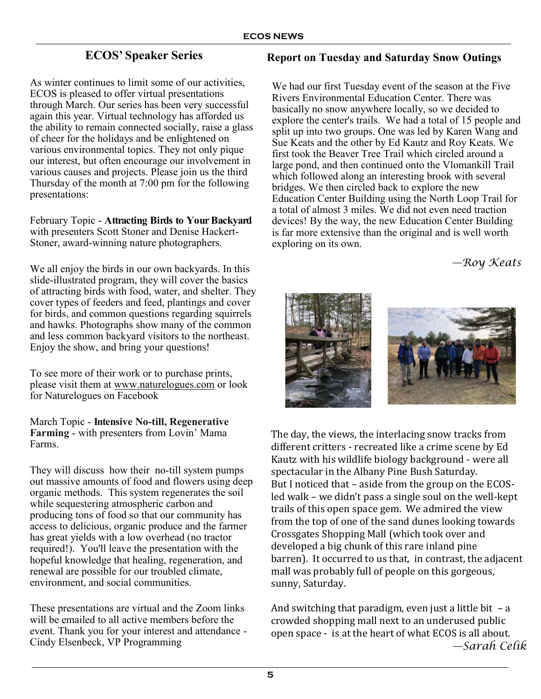## **ECOS' Speaker Series**

As winter continues to limit some of our activities, ECOS is pleased to offer virtual presentations through March. Our series has been very successful again this year. Virtual technology has afforded us the ability to remain connected socially, raise a glass of cheer for the holidays and be enlightened on various environmental topics. They not only pique our interest, but often encourage our involvement in various causes and projects. Please join us the third Thursday of the month at 7:00 pm for the following presentations:

February Topic - **Attracting Birds to Your Backyard**  with presenters Scott Stoner and Denise Hackert-Stoner, award-winning nature photographers.

We all enjoy the birds in our own backyards. In this slide-illustrated program, they will cover the basics of attracting birds with food, water, and shelter. They cover types of feeders and feed, plantings and cover for birds, and common questions regarding squirrels and hawks. Photographs show many of the common and less common backyard visitors to the northeast. Enjoy the show, and bring your questions!

To see more of their work or to purchase prints, please visit them at [www.naturelogues.com](http://www.naturelogues.com/) or look for Naturelogues on Facebook

March Topic - **Intensive No-till, Regenerative Farming** - with presenters from Lovin' Mama Farms.

They will discuss how their no-till system pumps out massive amounts of food and flowers using deep organic methods. This system regenerates the soil while sequestering atmospheric carbon and producing tons of food so that our community has access to delicious, organic produce and the farmer has great yields with a low overhead (no tractor required!). You'll leave the presentation with the hopeful knowledge that healing, regeneration, and renewal are possible for our troubled climate, environment, and social communities.

These presentations are virtual and the Zoom links will be emailed to all active members before the event. Thank you for your interest and attendance - Cindy Elsenbeck, VP Programming

### **Report on Tuesday and Saturday Snow Outings**

We had our first Tuesday event of the season at the Five Rivers Environmental Education Center. There was basically no snow anywhere locally, so we decided to explore the center's trails. We had a total of 15 people and split up into two groups. One was led by Karen Wang and Sue Keats and the other by Ed Kautz and Roy Keats. We first took the Beaver Tree Trail which circled around a large pond, and then continued onto the Vlomankill Trail which followed along an interesting brook with several bridges. We then circled back to explore the new Education Center Building using the North Loop Trail for a total of almost 3 miles. We did not even need traction devices! By the way, the new Education Center Building is far more extensive than the original and is well worth exploring on its own.

*—Roy Keats* 



The day, the views, the interlacing snow tracks from different critters - recreated like a crime scene by Ed Kautz with his wildlife biology background - were all spectacular in the Albany Pine Bush Saturday. But I noticed that – aside from the group on the ECOSled walk – we didn't pass a single soul on the well-kept trails of this open space gem. We admired the view from the top of one of the sand dunes looking towards Crossgates Shopping Mall (which took over and developed a big chunk of this rare inland pine barren). It occurred to us that, in contrast, the adjacent mall was probably full of people on this gorgeous, sunny, Saturday.

And switching that paradigm, even just a little bit  $- a$ crowded shopping mall next to an underused public open space - is at the heart of what ECOS is all about. *—Sarah Celik*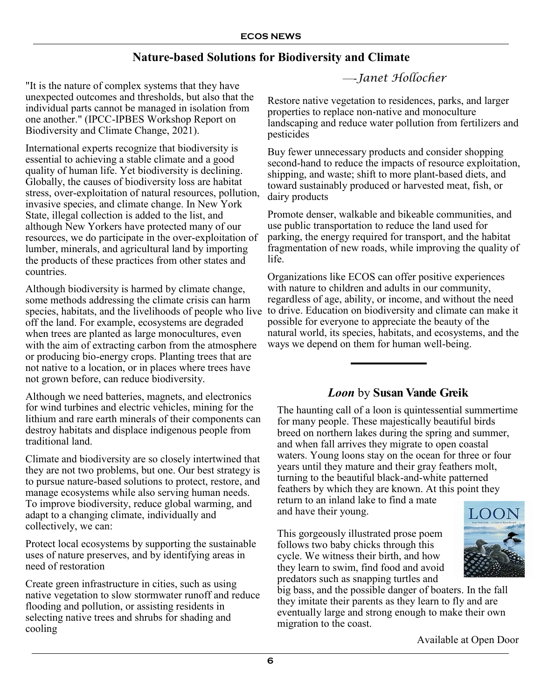# **Nature-based Solutions for Biodiversity and Climate**

—-*Janet Hollocher* "It is the nature of complex systems that they have unexpected outcomes and thresholds, but also that the individual parts cannot be managed in isolation from one another." (IPCC-IPBES Workshop Report on Biodiversity and Climate Change, 2021).

International experts recognize that biodiversity is essential to achieving a stable climate and a good quality of human life. Yet biodiversity is declining. Globally, the causes of biodiversity loss are habitat stress, over-exploitation of natural resources, pollution, invasive species, and climate change. In New York State, illegal collection is added to the list, and although New Yorkers have protected many of our resources, we do participate in the over-exploitation of lumber, minerals, and agricultural land by importing the products of these practices from other states and countries.

Although biodiversity is harmed by climate change, some methods addressing the climate crisis can harm species, habitats, and the livelihoods of people who live off the land. For example, ecosystems are degraded when trees are planted as large monocultures, even with the aim of extracting carbon from the atmosphere or producing bio-energy crops. Planting trees that are not native to a location, or in places where trees have not grown before, can reduce biodiversity.

Although we need batteries, magnets, and electronics for wind turbines and electric vehicles, mining for the lithium and rare earth minerals of their components can destroy habitats and displace indigenous people from traditional land.

Climate and biodiversity are so closely intertwined that they are not two problems, but one. Our best strategy is to pursue nature-based solutions to protect, restore, and manage ecosystems while also serving human needs. To improve biodiversity, reduce global warming, and adapt to a changing climate, individually and collectively, we can:

Protect local ecosystems by supporting the sustainable uses of nature preserves, and by identifying areas in need of restoration

Create green infrastructure in cities, such as using native vegetation to slow stormwater runoff and reduce flooding and pollution, or assisting residents in selecting native trees and shrubs for shading and cooling

Restore native vegetation to residences, parks, and larger properties to replace non-native and monoculture landscaping and reduce water pollution from fertilizers and pesticides

Buy fewer unnecessary products and consider shopping second-hand to reduce the impacts of resource exploitation, shipping, and waste; shift to more plant-based diets, and toward sustainably produced or harvested meat, fish, or dairy products

Promote denser, walkable and bikeable communities, and use public transportation to reduce the land used for parking, the energy required for transport, and the habitat fragmentation of new roads, while improving the quality of life.

Organizations like ECOS can offer positive experiences with nature to children and adults in our community, regardless of age, ability, or income, and without the need to drive. Education on biodiversity and climate can make it possible for everyone to appreciate the beauty of the natural world, its species, habitats, and ecosystems, and the ways we depend on them for human well-being.

## *Loon* by **Susan Vande Greik**

The haunting call of a loon is quintessential summertime for many people. These majestically beautiful birds breed on northern lakes during the spring and summer, and when fall arrives they migrate to open coastal waters. Young loons stay on the ocean for three or four years until they mature and their gray feathers molt, turning to the beautiful black-and-white patterned feathers by which they are known. At this point they return to an inland lake to find a mate and have their young.

This gorgeously illustrated prose poem follows two baby chicks through this cycle. We witness their birth, and how they learn to swim, find food and avoid predators such as snapping turtles and

LOO

big bass, and the possible danger of boaters. In the fall they imitate their parents as they learn to fly and are eventually large and strong enough to make their own migration to the coast.

Available at Open Door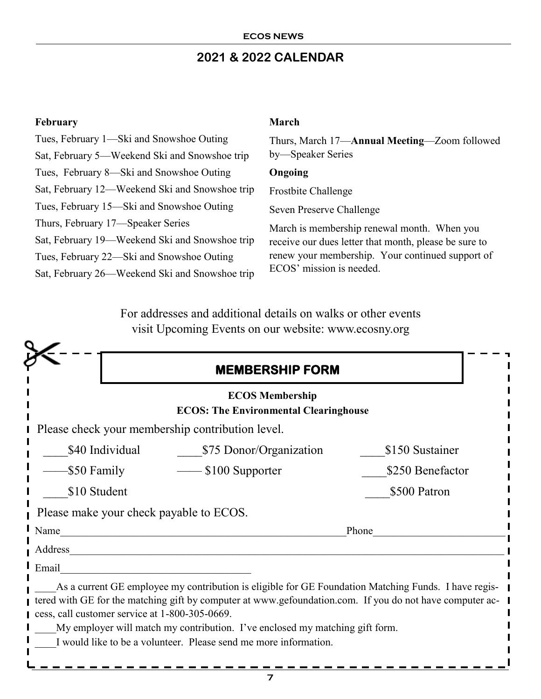# **2021 & 2022 CALENDAR**

#### **February**

Tues, February 1—Ski and Snowshoe Outing Sat, February 5—Weekend Ski and Snowshoe trip Tues, February 8—Ski and Snowshoe Outing Sat, February 12—Weekend Ski and Snowshoe trip Tues, February 15—Ski and Snowshoe Outing Thurs, February 17—Speaker Series Sat, February 19—Weekend Ski and Snowshoe trip Tues, February 22—Ski and Snowshoe Outing Sat, February 26—Weekend Ski and Snowshoe trip

#### **March**

Thurs, March 17—**Annual Meeting**—Zoom followed by—Speaker Series

#### **Ongoing**

Frostbite Challenge

Seven Preserve Challenge

March is membership renewal month. When you receive our dues letter that month, please be sure to renew your membership. Your continued support of ECOS' mission is needed.

For addresses and additional details on walks or other events visit Upcoming Events on our website: www.ecosny.org

|                                                  | <b>MEMBERSHIP FORM</b>                                                                                                                                                                                                                                                                                                                                               |                  |  |
|--------------------------------------------------|----------------------------------------------------------------------------------------------------------------------------------------------------------------------------------------------------------------------------------------------------------------------------------------------------------------------------------------------------------------------|------------------|--|
|                                                  | <b>ECOS Membership</b><br><b>ECOS: The Environmental Clearinghouse</b>                                                                                                                                                                                                                                                                                               |                  |  |
| Please check your membership contribution level. |                                                                                                                                                                                                                                                                                                                                                                      |                  |  |
| \$40 Individual                                  | \$75 Donor/Organization                                                                                                                                                                                                                                                                                                                                              | \$150 Sustainer  |  |
| \$50 Family                                      | $\frac{1}{2}$ \$100 Supporter                                                                                                                                                                                                                                                                                                                                        | \$250 Benefactor |  |
| \$10 Student                                     |                                                                                                                                                                                                                                                                                                                                                                      | \$500 Patron     |  |
| Please make your check payable to ECOS.          |                                                                                                                                                                                                                                                                                                                                                                      |                  |  |
| Name                                             |                                                                                                                                                                                                                                                                                                                                                                      | Phone            |  |
| Address                                          |                                                                                                                                                                                                                                                                                                                                                                      |                  |  |
| Email                                            |                                                                                                                                                                                                                                                                                                                                                                      |                  |  |
| cess, call customer service at 1-800-305-0669.   | As a current GE employee my contribution is eligible for GE Foundation Matching Funds. I have regis-<br>tered with GE for the matching gift by computer at www.gefoundation.com. If you do not have computer ac-<br>My employer will match my contribution. I've enclosed my matching gift form.<br>I would like to be a volunteer. Please send me more information. |                  |  |